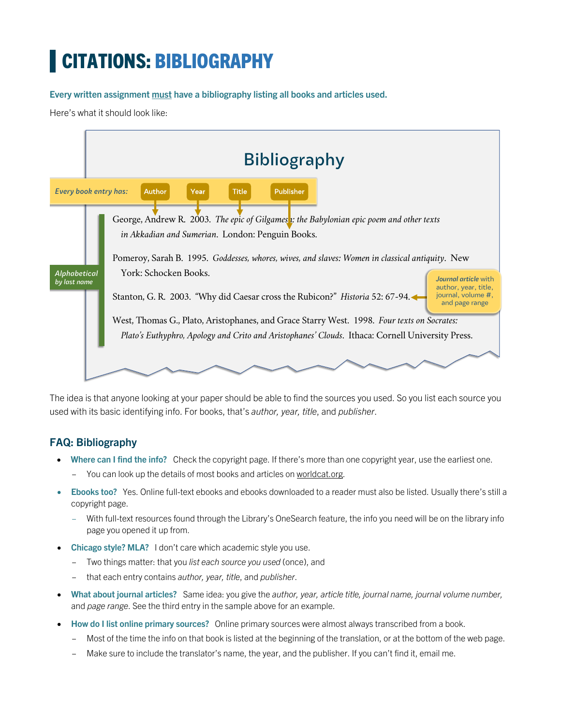# CITATIONS: BIBLIOGRAPHY

**Every written assignment must have a bibliography listing all books and articles used.** 

Here's what it should look like:



The idea is that anyone looking at your paper should be able to find the sources you used. So you list each source you used with its basic identifying info. For books, that's *author, year, title*, and *publisher*.

## **FAQ: Bibliography**

- **Where can I find the info?** Check the copyright page. If there's more than one copyright year, use the earliest one.
	- You can look up the details of most books and articles on worldcat.org.
- **Ebooks too?** Yes. Online full-text ebooks and ebooks downloaded to a reader must also be listed. Usually there's still a copyright page.
	- With full-text resources found through the Library's OneSearch feature, the info you need will be on the library info page you opened it up from.
- **Chicago style? MLA?** I don't care which academic style you use.
	- Two things matter: that you *list each source you used* (once), and
	- that each entry contains *author, year, title*, and *publisher*.
- **What about journal articles?** Same idea: you give the *author, year, article title, journal name, journal volume number,* and *page range*. See the third entry in the sample above for an example.
- **How do I list online primary sources?** Online primary sources were almost always transcribed from a book.
	- Most of the time the info on that book is listed at the beginning of the translation, or at the bottom of the web page.
	- Make sure to include the translator's name, the year, and the publisher. If you can't find it, email me.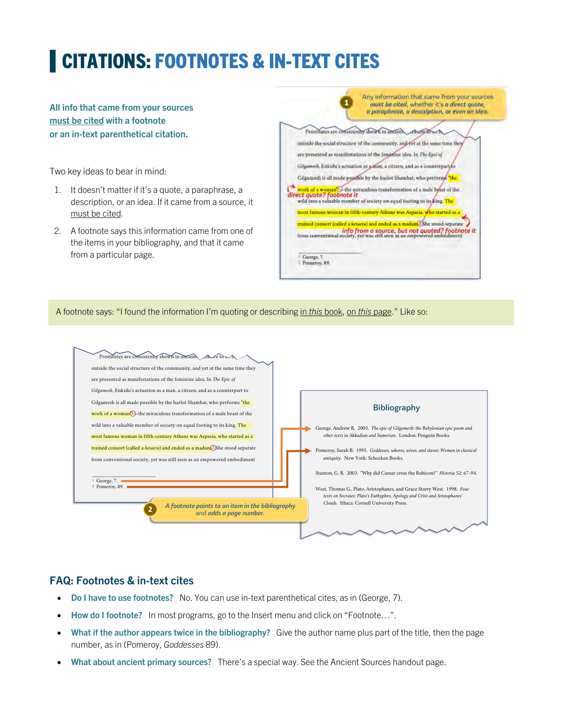# CITATIONS: FOOTNOTES & IN-TEXT CITES

#### **All info that came from your sources must be cited with a footnote or an in-text parenthetical citation.**

Two key ideas to bear in mind:

- 1. It doesn't matter if it's a quote, a paraphrase, a description, or an idea. If it came from a source, it must be cited.
- 2. A footnote says this information came from one of the items in your bibliography, and that it came from a particular page.



A footnote says: "I found the information I'm quoting or describing in *this* book, on *this* page." Like so:



#### **FAQ: Footnotes & in-text cites**

- **Do I have to use footnotes?** No. You can use in-text parenthetical cites, as in (George, 7).
- **How do I footnote?** In most programs, go to the Insert menu and click on "Footnote…".
- **What if the author appears twice in the bibliography?** Give the author name plus part of the title, then the page number, as in (Pomeroy, *Goddesses* 89).
- **What about ancient primary sources?** There's a special way. See the Ancient Sources handout page.